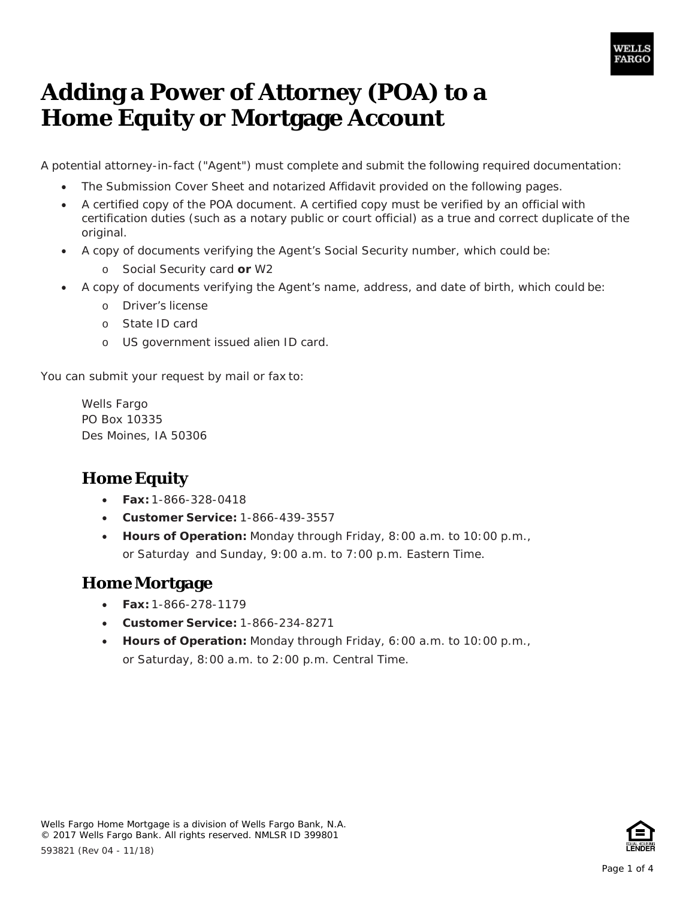

## **Adding a Power of Attorney (POA) to a Home Equity or Mortgage Account**

A potential attorney-in-fact ("Agent") must complete and submit the following required documentation:

- The Submission Cover Sheet and notarized Affidavit provided on the following pages.
- • A certified copy of the POA document. A certified copy must be verified by an official with certification duties (such as a notary public or court official) as a true and correct duplicate of the original.
- • A copy of documents verifying the Agent's Social Security number, which could be:
	- o Social Security card **or** W2
- • A copy of documents verifying the Agent's name, address, and date of birth, which could be:
	- o Driver's license
	- o State ID card
	- o US government issued alien ID card.

You can submit your request by mail or fax to:

 PO Box 10335 Des Moines, IA 50306 Wells Fargo

### **Home Equity**

- **Fax:** 1-866-328-0418
- **Customer Service:** 1-866-439-3557
- **Hours of Operation:** Monday through Friday, 8:00 a.m. to 10:00 p.m., or Saturday and Sunday, 9:00 a.m. to 7:00 p.m. Eastern Time.

#### **Home Mortgage**

- **Fax:** 1-866-278-1179
- **Customer Service:** 1-866-234-8271
- **Hours of Operation:** Monday through Friday, 6:00 a.m. to 10:00 p.m., or Saturday, 8:00 a.m. to 2:00 p.m. Central Time.

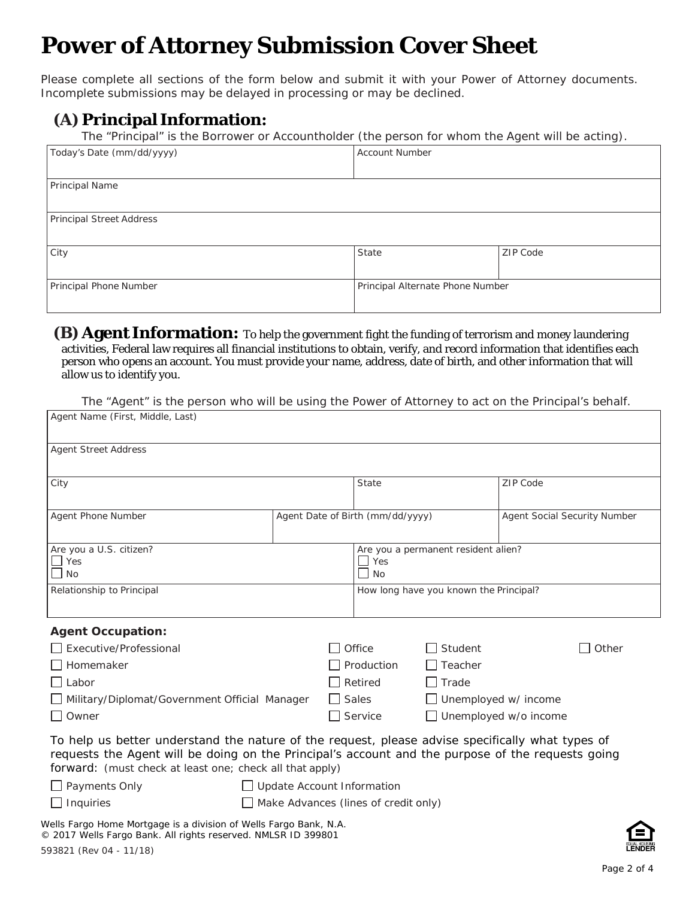# **Power of Attorney Submission Cover Sheet**

 Please complete all sections of the form below and submit it with your Power of Attorney documents. Incomplete submissions may be delayed in processing or may be declined.

### **(A) Principal Information:**

 *The "Principal" is the Borrower or Accountholder (the person for whom the Agent will be acting).* 

| Today's Date (mm/dd/yyyy)       | <b>Account Number</b>            |          |
|---------------------------------|----------------------------------|----------|
|                                 |                                  |          |
| Principal Name                  |                                  |          |
|                                 |                                  |          |
| <b>Principal Street Address</b> |                                  |          |
|                                 |                                  |          |
| City                            | State                            | ZIP Code |
|                                 |                                  |          |
| Principal Phone Number          | Principal Alternate Phone Number |          |
|                                 |                                  |          |

#### **(B) Agent Information:** To help the government fight the funding of terrorism and money laundering activities, Federal law requires all financial institutions to obtain, verify, and record information that identifies each person who opens an account. You must provide your name, address, date of birth, and other information that will allow us to identify you.

 *The "Agent" is the person who will be using the Power of Attorney to act on the Principal's behalf.* 

| <b>Agent Street Address</b>                                                                                                                                                                                                                                       |                                                      |                                        |                              |
|-------------------------------------------------------------------------------------------------------------------------------------------------------------------------------------------------------------------------------------------------------------------|------------------------------------------------------|----------------------------------------|------------------------------|
| City                                                                                                                                                                                                                                                              | State                                                |                                        | <b>ZIP Code</b>              |
| Agent Phone Number                                                                                                                                                                                                                                                | Agent Date of Birth (mm/dd/yyyy)                     |                                        | Agent Social Security Number |
| Are you a U.S. citizen?<br>$\overline{\phantom{a}}$ Yes<br>No                                                                                                                                                                                                     | Are you a permanent resident alien?<br>l I Yes<br>No |                                        |                              |
| Relationship to Principal                                                                                                                                                                                                                                         |                                                      | How long have you known the Principal? |                              |
| <b>Agent Occupation:</b>                                                                                                                                                                                                                                          |                                                      |                                        |                              |
| Executive/Professional                                                                                                                                                                                                                                            | Office                                               | $\Box$ Student                         | Other                        |
| Homemaker                                                                                                                                                                                                                                                         | Production<br>$\mathsf{L}$                           | Teacher                                |                              |
| Labor                                                                                                                                                                                                                                                             | $\Box$ Retired                                       | $\Box$ Trade                           |                              |
| Military/Diplomat/Government Official Manager                                                                                                                                                                                                                     | $\Box$ Sales                                         | $\Box$ Unemployed w/ income            |                              |
| $\Box$ Owner                                                                                                                                                                                                                                                      | $\Box$ Service                                       | $\Box$ Unemployed w/o income           |                              |
| To help us better understand the nature of the request, please advise specifically what types of<br>requests the Agent will be doing on the Principal's account and the purpose of the requests going<br>forward: (must check at least one; check all that apply) |                                                      |                                        |                              |
| $\Box$ Payments Only                                                                                                                                                                                                                                              | $\Box$ Update Account Information                    |                                        |                              |
| $\Box$ Inquiries                                                                                                                                                                                                                                                  | $\Box$ Make Advances (lines of credit only)          |                                        |                              |

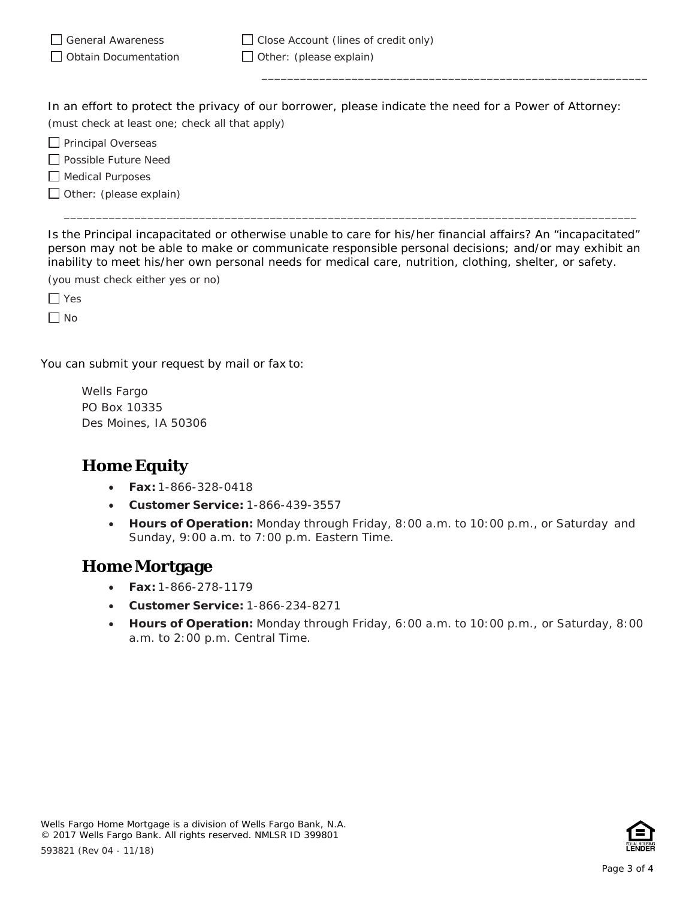| General Awareness           | $\Box$ Close Account (lines of credit only) |
|-----------------------------|---------------------------------------------|
| $\Box$ Obtain Documentation | $\Box$ Other: (please explain)              |

 In an effort to protect the privacy of our borrower, please indicate the need for a Power of Attorney:  *(must check at least one; check all that apply)* 

\_\_\_\_\_\_\_\_\_\_\_\_\_\_\_\_\_\_\_\_\_\_\_\_\_\_\_\_\_\_\_\_\_\_\_\_\_\_\_\_\_\_\_\_\_\_\_\_\_\_\_\_\_\_\_\_\_\_\_\_

 $\Box$  Principal Overseas

Possible Future Need

 $\Box$  Medical Purposes

Other: *(please explain)* 

 Is the Principal incapacitated or otherwise unable to care for his/her financial affairs? An "incapacitated" person may not be able to make or communicate responsible personal decisions; and/or may exhibit an inability to meet his/her own personal needs for medical care, nutrition, clothing, shelter, or safety.

\_\_\_\_\_\_\_\_\_\_\_\_\_\_\_\_\_\_\_\_\_\_\_\_\_\_\_\_\_\_\_\_\_\_\_\_\_\_\_\_\_\_\_\_\_\_\_\_\_\_\_\_\_\_\_\_\_\_\_\_\_\_\_\_\_\_\_\_\_\_\_\_\_\_\_\_\_\_\_\_\_\_\_\_\_\_\_\_\_

 *(you must check either yes or no)* 

Yes

No

You can submit your request by mail or fax to:

 PO Box 10335 Des Moines, IA 50306 Wells Fargo

### **Home Equity**

- **Fax:** 1-866-328-0418
- **Customer Service:** 1-866-439-3557
- **Hours of Operation:** Monday through Friday, 8:00 a.m. to 10:00 p.m., or Saturday and Sunday, 9:00 a.m. to 7:00 p.m. Eastern Time.

#### **Home Mortgage**

- **Fax:** 1-866-278-1179
- **Customer Service:** 1-866-234-8271
- **Hours of Operation:** Monday through Friday, 6:00 a.m. to 10:00 p.m., or Saturday, 8:00 a.m. to 2:00 p.m. Central Time.